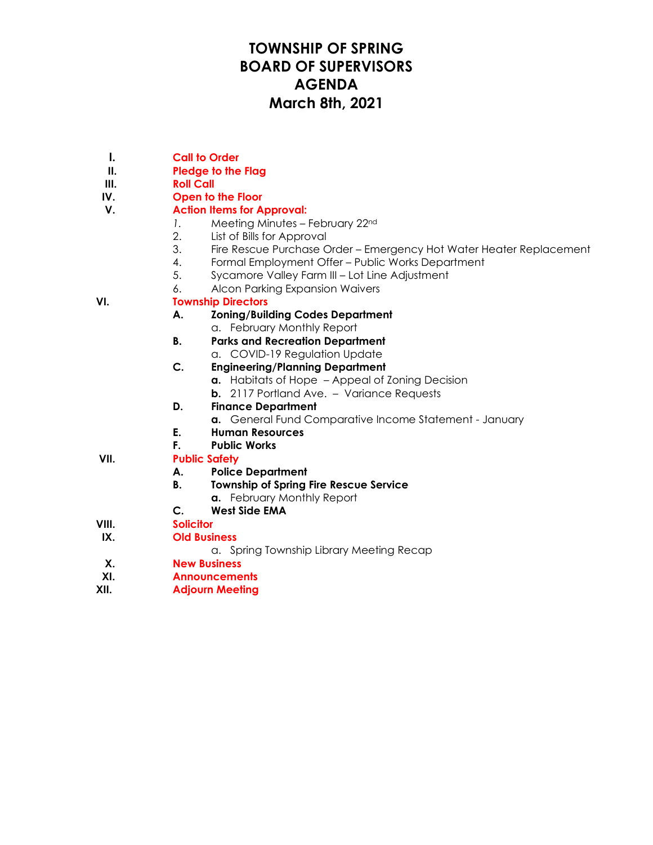# **TOWNSHIP OF SPRING BOARD OF SUPERVISORS AGENDA March 8th, 2021**

- **I. Call to Order**
- **II. Pledge to the Flag**
- **III. Roll Call**
- **IV. Open to the Floor**

## **V. Action Items for Approval:**

- *1.* Meeting Minutes February 22nd
- 2. List of Bills for Approval
- 3. Fire Rescue Purchase Order Emergency Hot Water Heater Replacement
- 4. Formal Employment Offer Public Works Department
- 5. Sycamore Valley Farm III Lot Line Adjustment
- 6. Alcon Parking Expansion Waivers

### **VI. Township Directors**

#### **A. Zoning/Building Codes Department**

- a. February Monthly Report
- **B. Parks and Recreation Department**
	- a. COVID-19 Regulation Update
- **C. Engineering/Planning Department**
	- **a.** Habitats of Hope Appeal of Zoning Decision
	- **b.** 2117 Portland Ave. Variance Requests
- **D. Finance Department**
	- **a.** General Fund Comparative Income Statement January
- **E. Human Resources**
- **F. Public Works**

### **VII. Public Safety**

- **A. Police Department**
- **B. Township of Spring Fire Rescue Service**
	- **a.** February Monthly Report
- **C. West Side EMA**
- **VIII. Solicitor**
- **IX. Old Business**
	- a. Spring Township Library Meeting Recap
- **X. New Business**
- **XI. Announcements**
- **XII. Adjourn Meeting**